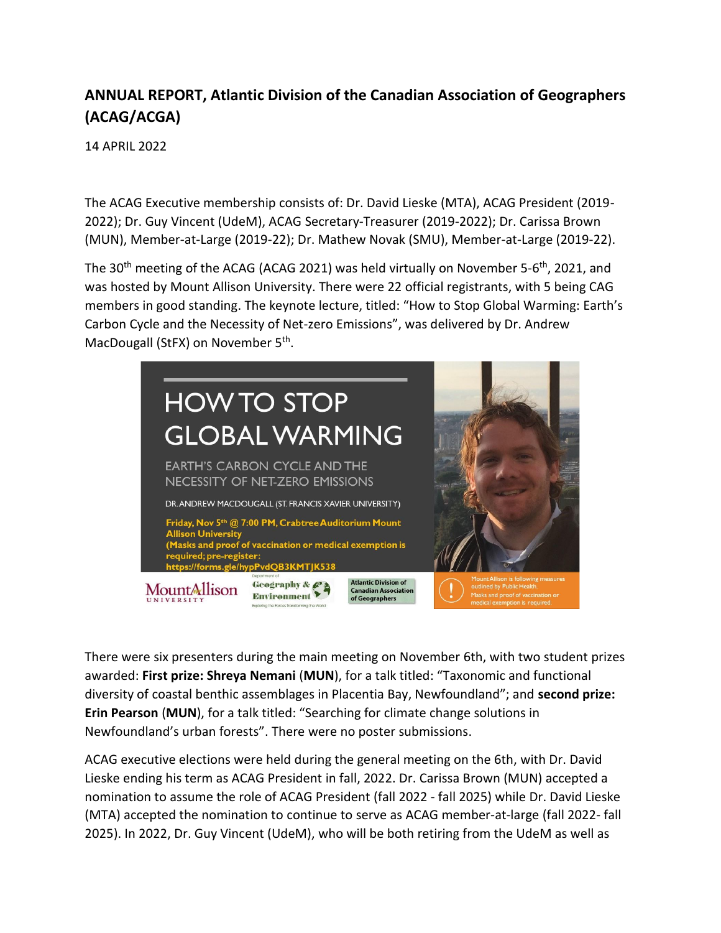## **ANNUAL REPORT, Atlantic Division of the Canadian Association of Geographers (ACAG/ACGA)**

14 APRIL 2022

The ACAG Executive membership consists of: Dr. David Lieske (MTA), ACAG President (2019- 2022); Dr. Guy Vincent (UdeM), ACAG Secretary-Treasurer (2019-2022); Dr. Carissa Brown (MUN), Member-at-Large (2019-22); Dr. Mathew Novak (SMU), Member-at-Large (2019-22).

The 30<sup>th</sup> meeting of the ACAG (ACAG 2021) was held virtually on November 5-6<sup>th</sup>, 2021, and was hosted by Mount Allison University. There were 22 official registrants, with 5 being CAG members in good standing. The keynote lecture, titled: "How to Stop Global Warming: Earth's Carbon Cycle and the Necessity of Net-zero Emissions", was delivered by Dr. Andrew MacDougall (StFX) on November 5<sup>th</sup>.



There were six presenters during the main meeting on November 6th, with two student prizes awarded: **First prize: Shreya Nemani** (**MUN**), for a talk titled: "Taxonomic and functional diversity of coastal benthic assemblages in Placentia Bay, Newfoundland"; and **second prize: Erin Pearson** (**MUN**), for a talk titled: "Searching for climate change solutions in Newfoundland's urban forests". There were no poster submissions.

ACAG executive elections were held during the general meeting on the 6th, with Dr. David Lieske ending his term as ACAG President in fall, 2022. Dr. Carissa Brown (MUN) accepted a nomination to assume the role of ACAG President (fall 2022 - fall 2025) while Dr. David Lieske (MTA) accepted the nomination to continue to serve as ACAG member-at-large (fall 2022- fall 2025). In 2022, Dr. Guy Vincent (UdeM), who will be both retiring from the UdeM as well as